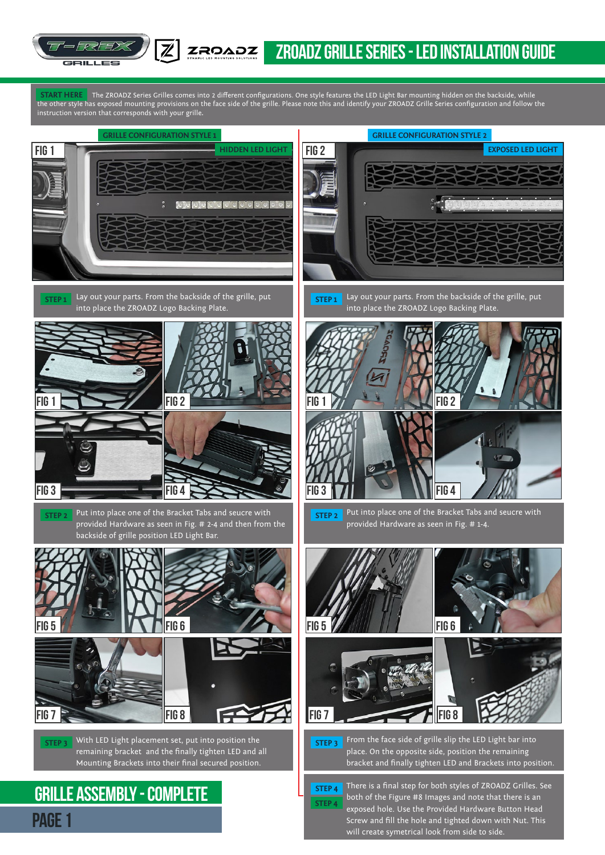

START HERE The ZROADZ Series Grilles comes into 2 different configurations. One style features the LED Light Bar mounting hidden on the backside, while the other style has exposed mounting provisions on the face side of the grille. Please note this and identify your ZROADZ Grille Series configuration and follow the instruction version that corresponds with your grille**. START HERE**